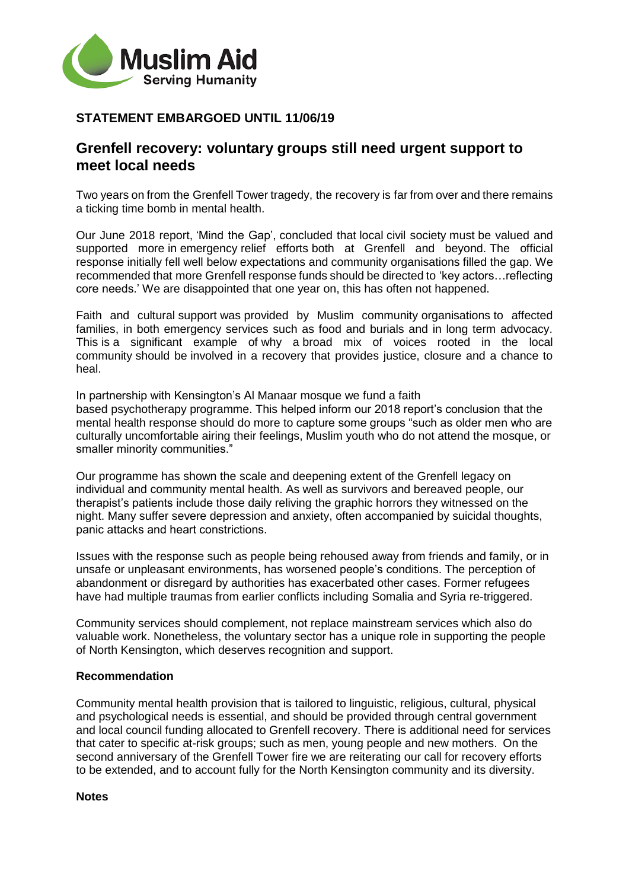

## **STATEMENT EMBARGOED UNTIL 11/06/19**

## **Grenfell recovery: voluntary groups still need urgent support to meet local needs**

Two years on from the Grenfell Tower tragedy, the recovery is far from over and there remains a ticking time bomb in mental health.

Our June 2018 report, 'Mind the Gap', concluded that local civil society must be valued and supported more in emergency relief efforts both at Grenfell and beyond. The official response initially fell well below expectations and community organisations filled the gap. We recommended that more Grenfell response funds should be directed to 'key actors…reflecting core needs.' We are disappointed that one year on, this has often not happened.

Faith and cultural support was provided by Muslim community organisations to affected families, in both emergency services such as food and burials and in long term advocacy. This is a significant example of why a broad mix of voices rooted in the local community should be involved in a recovery that provides justice, closure and a chance to heal.

In partnership with Kensington's Al Manaar mosque we fund a faith based psychotherapy programme. This helped inform our 2018 report's conclusion that the mental health response should do more to capture some groups "such as older men who are culturally uncomfortable airing their feelings, Muslim youth who do not attend the mosque, or smaller minority communities."

Our programme has shown the scale and deepening extent of the Grenfell legacy on individual and community mental health. As well as survivors and bereaved people, our therapist's patients include those daily reliving the graphic horrors they witnessed on the night. Many suffer severe depression and anxiety, often accompanied by suicidal thoughts, panic attacks and heart constrictions.  

Issues with the response such as people being rehoused away from friends and family, or in unsafe or unpleasant environments, has worsened people's conditions. The perception of abandonment or disregard by authorities has exacerbated other cases. Former refugees have had multiple traumas from earlier conflicts including Somalia and Syria re-triggered.

Community services should complement, not replace mainstream services which also do valuable work. Nonetheless, the voluntary sector has a unique role in supporting the people of North Kensington, which deserves recognition and support.

## **Recommendation**

Community mental health provision that is tailored to linguistic, religious, cultural, physical and psychological needs is essential, and should be provided through central government and local council funding allocated to Grenfell recovery. There is additional need for services that cater to specific at-risk groups; such as men, young people and new mothers. On the second anniversary of the Grenfell Tower fire we are reiterating our call for recovery efforts to be extended, and to account fully for the North Kensington community and its diversity.

**Notes**